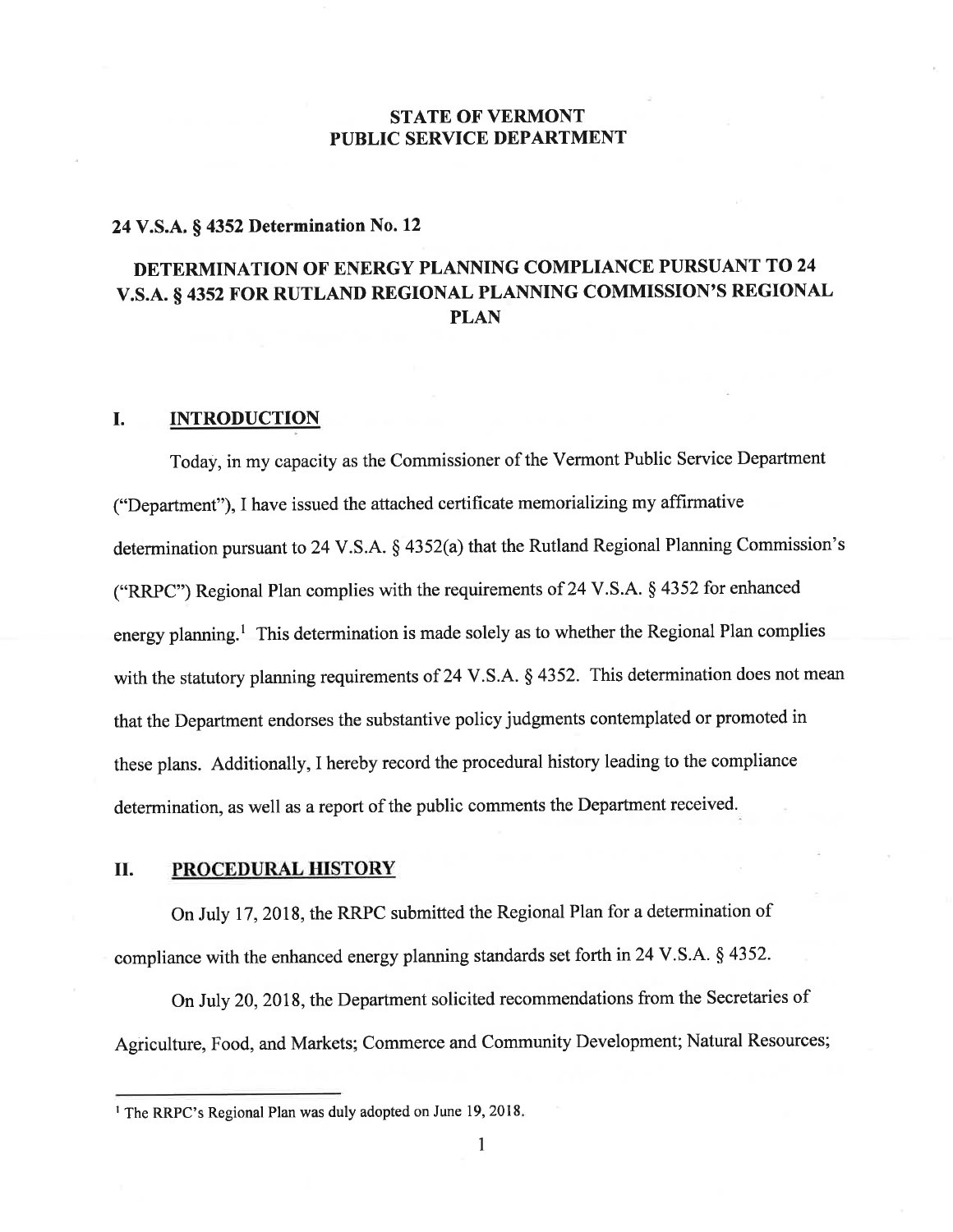# STATE OF VERMONT PUBLIC SERVICE DEPARTMENT

# 24 V.S.A. \$ 4352 Determination No. <sup>12</sup>

# DETERMINATION OF ENERGY PLANNING COMPLIANCE PURSUANT TO 24 v.s.A. s 4352 FOR RUTLAND REGTONAL PLANNING COMMISSION'S REGTONAL PLAN

### I. INTRODUCTION

Today, in my capacity as the Commissioner of the Vermont Public Service Department ("Department"), I have issued the attached certificate memorializing my affirmative determination pursuant to 24 V.S.A.  $\S$  4352(a) that the Rutland Regional Planning Commission's ("RRPC"; Regional Plan complies with the requirements of 24 V.S.A. \$ 4352 for enhanced energy planning.<sup>1</sup> This determination is made solely as to whether the Regional Plan complies with the statutory planning requirements of 24 V.S.A. § 4352. This determination does not mean that the Department endorses the substantive policy judgments contemplated or promoted in these plans. Additionally, I hereby record the procedural history leading to the compliance determination, as well as a report of the public comments the Department received.

#### il. PROCEDURAL HISTORY

On July 17, 2018, the RRPC submitted the Regional Plan for a determination of compliance with the enhanced energy planning standards set forth in 24 V.S.A. § 4352.

On July 20, 2018, the Department solicited recommendations from the Secretaries of Agriculture, Food, and Markets; Commerce and Community Development; Natural Resources;

1

<sup>&</sup>lt;sup>1</sup> The RRPC's Regional Plan was duly adopted on June 19, 2018.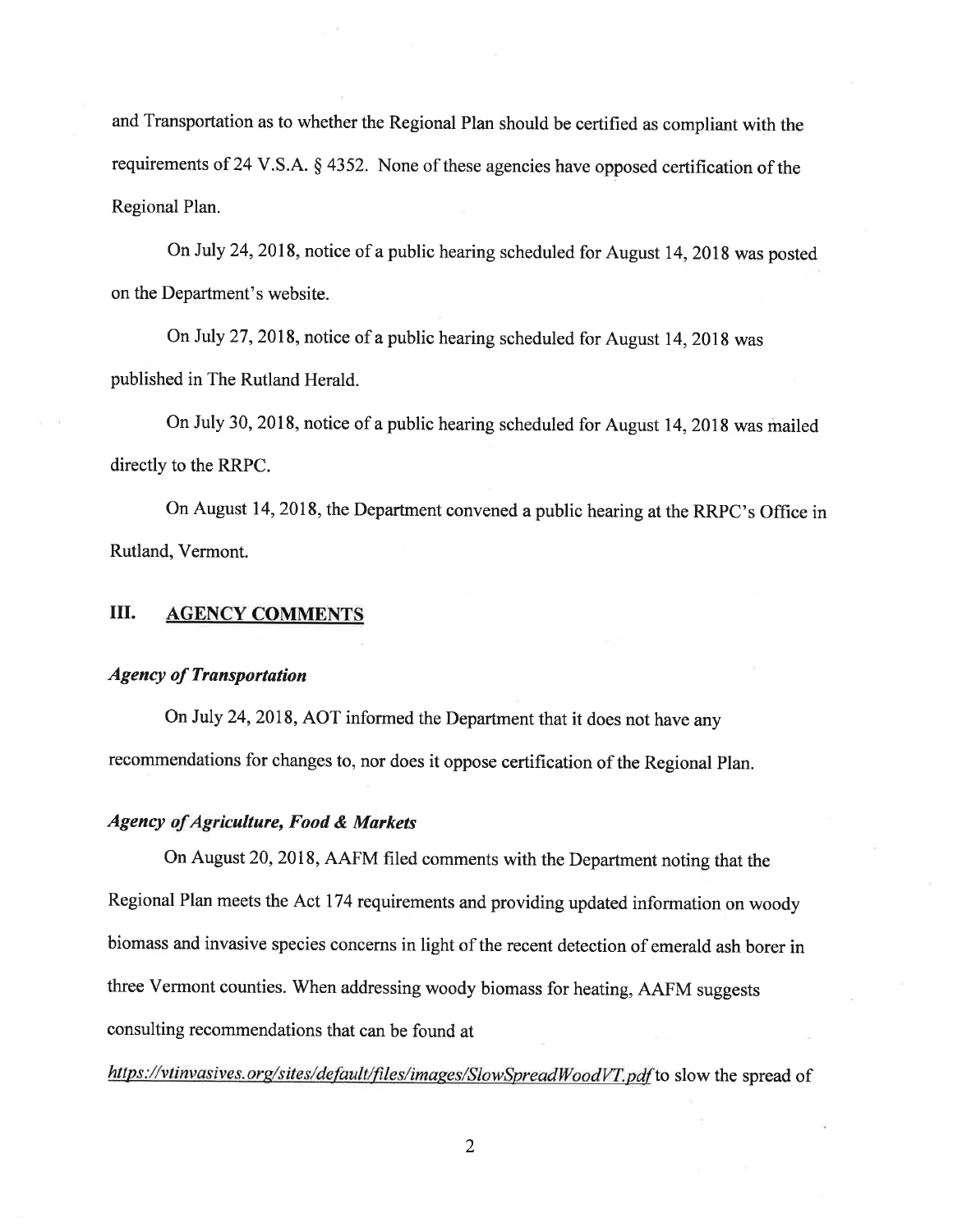and Transportation as to whether the Regional Plan should be certified as compliant with the requirements of 24 V.S.A. S 4352. None of these agencies have opposed certification of the Regional Plan.

On July 24,2018, notice of a public hearing scheduled for August 14,2018 was posted on the Department's website.

On July 27, 2018, notice of a public hearing scheduled for August 14, 2018 was published in The Rutland Herald.

On July 30, 2018, notice of a public hearing scheduled for August 14,2018 was mailed directly to the RRPC.

On August 14, 2018, the Department convened a public hearing at the RRPC's Office in Rutland, Vermont.

## ilI. AGENCY COMMENTS

#### Agency of Transportation

On July 24,2OI8,AOT informed the Department that it does not have any recommendations for changes to, nor does it oppose certification of the Regional Plan.

## Agency of Agriculture, Food & Markets

On August 20,2018, AAFM filed comments with the Department noting that the Regional Plan meets the Act 174 requirements and providing updated information on woody biomass and invasive species concerns in light of the recent detection of emerald ash borer in three Vermont counties. When addressing woody biomass for heating, AAFM suggests consulting recommendations that can be found at

https://vtinvasives.org/sites/default/files/images/SlowSpreadWoodVT.pdf to slow the spread of

2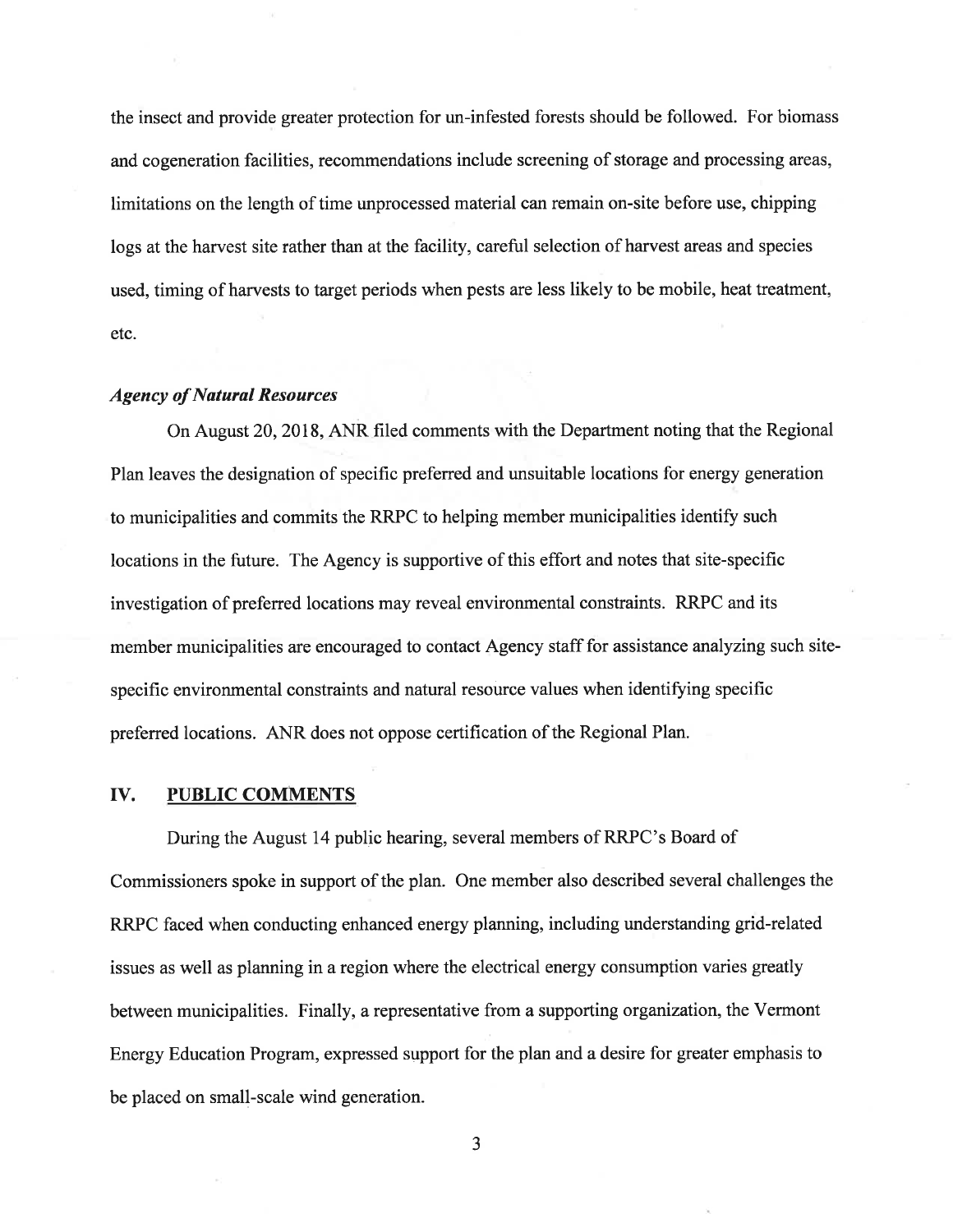the insect and provide greater protection for un-infested forests should be followed. For biomass and cogeneration facilities, recommendations include screening of storage and processing areas, limitations on the length of time unprocessed material can remain on-site before use, chipping logs at the harvest site rather than at the facility, careful selection of harvest areas and species used, timing of harvests to target periods when pests are less likely to be mobile, heat treatment, etc.

# Agency of Natural Resources

On August 20,2018,ANR filed comments with the Department noting that the Regional Plan leaves the designation of specific preferred and unsuitable locations for energy generation to municipalities and commits the RRPC to helping member municipalities identify such locations in the future. The Agency is supportive of this effort and notes that site-specific investigation of preferred locations may reveal environmental constraints. RRPC and its member municipalities are encouraged to contact Agency staff for assistance analyzing such sitespecific environmental constraints and natural resource values when identiffing specific preferred locations. ANR does not oppose certification of the Regional Plan.

#### IV. PUBLIC COMMENTS

During the August 14 public hearing, several members of RRPC's Board of Commissioners spoke in support of the plan. One member also described several challenges the RRPC faced when conducting enhanced energy planning, including understanding grid-related issues as well as planning in a region where the electrical energy consumption varies greatly between municipalities. Finally, a representative from a supporting organization, the Vermont Energy Education Program, expressed support for the plan and a desire for greater emphasis to be placed on small-scale wind generation.

a J